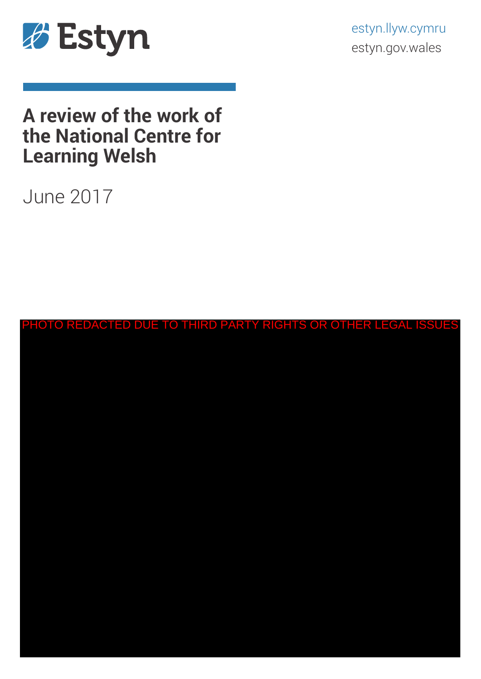

estyn.llyw.cymru estyn.gov.wales

# **A review of the work of the National Centre for Learning Welsh**

# June 2017

| PHOTO REDACTED DUE TO THIRD PARTY RIGHTS OR OTHER LEGAL ISSUES |
|----------------------------------------------------------------|
|                                                                |
|                                                                |
|                                                                |
|                                                                |
|                                                                |
|                                                                |
|                                                                |
|                                                                |
|                                                                |
|                                                                |
|                                                                |
|                                                                |
|                                                                |
|                                                                |
|                                                                |
|                                                                |
|                                                                |
|                                                                |
|                                                                |
|                                                                |
|                                                                |
|                                                                |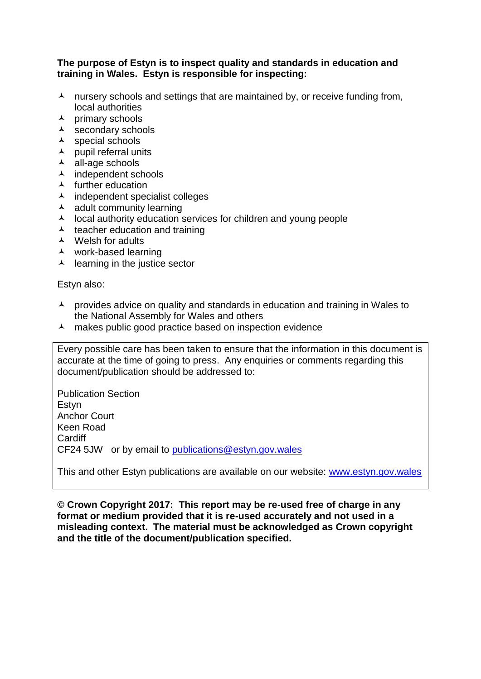#### **The purpose of Estyn is to inspect quality and standards in education and training in Wales. Estyn is responsible for inspecting:**

- $\lambda$  nursery schools and settings that are maintained by, or receive funding from, local authorities
- $\lambda$  primary schools
- $\lambda$  secondary schools
- $\lambda$  special schools
- $\lambda$  pupil referral units
- all-age schools
- $\lambda$  independent schools
- $\lambda$  further education
- $\lambda$  independent specialist colleges
- $\lambda$  adult community learning
- $\lambda$  local authority education services for children and young people
- $\lambda$  teacher education and training
- Welsh for adults
- work-based learning
- $\lambda$  learning in the justice sector

Estyn also:

- $\lambda$  provides advice on quality and standards in education and training in Wales to the National Assembly for Wales and others
- $\lambda$  makes public good practice based on inspection evidence

Every possible care has been taken to ensure that the information in this document is accurate at the time of going to press. Any enquiries or comments regarding this document/publication should be addressed to:

Publication Section **Estvn** Anchor Court Keen Road **Cardiff** CF24 5JW or by email to [publications@estyn.gov.wales](mailto:publications@estyn.gov.wales)

This and other Estyn publications are available on our website: [www.estyn.gov.wales](http://www.estyn.gov.wales/)

**© Crown Copyright 2017: This report may be re-used free of charge in any format or medium provided that it is re-used accurately and not used in a misleading context. The material must be acknowledged as Crown copyright and the title of the document/publication specified.**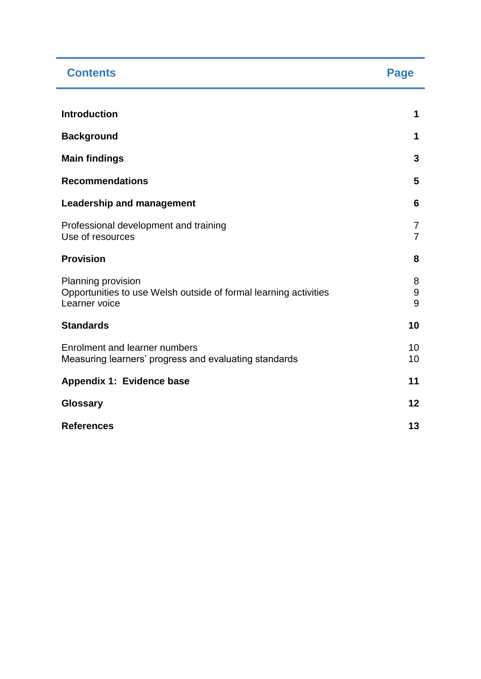| <b>Contents</b>                                                                                         | <b>Page</b>                      |
|---------------------------------------------------------------------------------------------------------|----------------------------------|
| <b>Introduction</b>                                                                                     | 1                                |
| <b>Background</b>                                                                                       | 1                                |
| <b>Main findings</b>                                                                                    | 3                                |
| <b>Recommendations</b>                                                                                  | 5                                |
| <b>Leadership and management</b>                                                                        | 6                                |
| Professional development and training<br>Use of resources                                               | $\overline{7}$<br>$\overline{7}$ |
| <b>Provision</b>                                                                                        | 8                                |
| Planning provision<br>Opportunities to use Welsh outside of formal learning activities<br>Learner voice | 8<br>$9\,$<br>9                  |
| <b>Standards</b>                                                                                        | 10                               |
| Enrolment and learner numbers<br>Measuring learners' progress and evaluating standards                  | 10<br>10                         |
| Appendix 1: Evidence base                                                                               | 11                               |
| <b>Glossary</b>                                                                                         | 12                               |
| <b>References</b>                                                                                       | 13                               |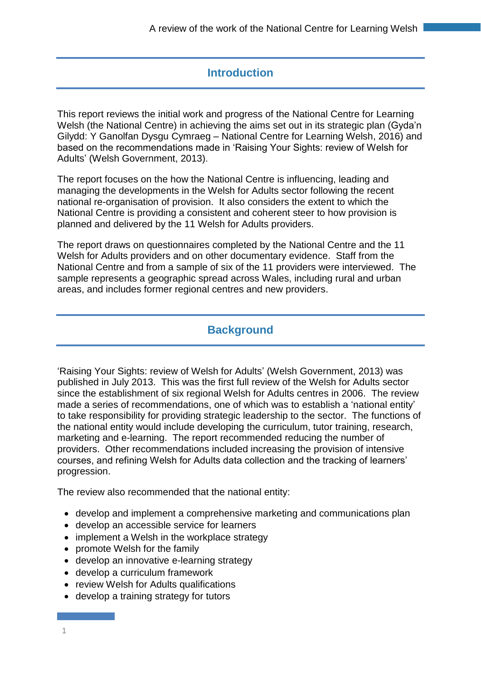## **Introduction**

This report reviews the initial work and progress of the National Centre for Learning Welsh (the National Centre) in achieving the aims set out in its strategic plan (Gyda'n Gilydd: Y Ganolfan Dysgu Cymraeg – National Centre for Learning Welsh, 2016) and based on the recommendations made in 'Raising Your Sights: review of Welsh for Adults' (Welsh Government, 2013).

The report focuses on the how the National Centre is influencing, leading and managing the developments in the Welsh for Adults sector following the recent national re-organisation of provision. It also considers the extent to which the National Centre is providing a consistent and coherent steer to how provision is planned and delivered by the 11 Welsh for Adults providers.

The report draws on questionnaires completed by the National Centre and the 11 Welsh for Adults providers and on other documentary evidence. Staff from the National Centre and from a sample of six of the 11 providers were interviewed. The sample represents a geographic spread across Wales, including rural and urban areas, and includes former regional centres and new providers.

## **Background**

'Raising Your Sights: review of Welsh for Adults' (Welsh Government, 2013) was published in July 2013. This was the first full review of the Welsh for Adults sector since the establishment of six regional Welsh for Adults centres in 2006. The review made a series of recommendations, one of which was to establish a 'national entity' to take responsibility for providing strategic leadership to the sector. The functions of the national entity would include developing the curriculum, tutor training, research, marketing and e-learning. The report recommended reducing the number of providers. Other recommendations included increasing the provision of intensive courses, and refining Welsh for Adults data collection and the tracking of learners' progression.

The review also recommended that the national entity:

- develop and implement a comprehensive marketing and communications plan
- develop an accessible service for learners
- implement a Welsh in the workplace strategy
- promote Welsh for the family
- develop an innovative e-learning strategy
- develop a curriculum framework
- review Welsh for Adults qualifications
- develop a training strategy for tutors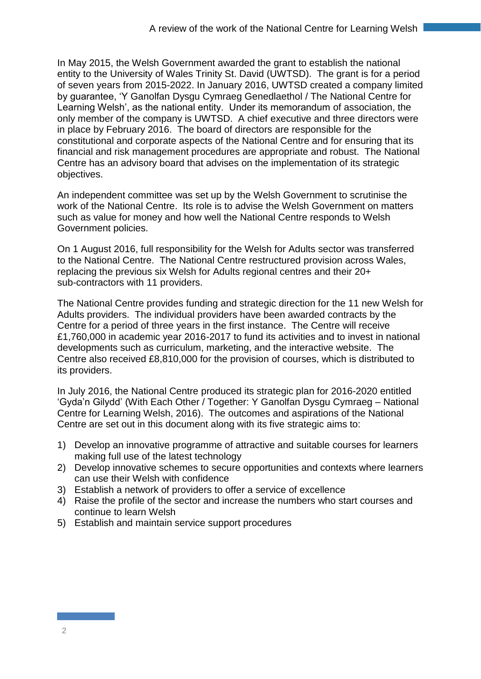In May 2015, the Welsh Government awarded the grant to establish the national entity to the University of Wales Trinity St. David (UWTSD). The grant is for a period of seven years from 2015-2022. In January 2016, UWTSD created a company limited by guarantee, 'Y Ganolfan Dysgu Cymraeg Genedlaethol / The National Centre for Learning Welsh', as the national entity. Under its memorandum of association, the only member of the company is UWTSD. A chief executive and three directors were in place by February 2016. The board of directors are responsible for the constitutional and corporate aspects of the National Centre and for ensuring that its financial and risk management procedures are appropriate and robust. The National Centre has an advisory board that advises on the implementation of its strategic objectives.

An independent committee was set up by the Welsh Government to scrutinise the work of the National Centre. Its role is to advise the Welsh Government on matters such as value for money and how well the National Centre responds to Welsh Government policies.

On 1 August 2016, full responsibility for the Welsh for Adults sector was transferred to the National Centre. The National Centre restructured provision across Wales, replacing the previous six Welsh for Adults regional centres and their 20+ sub-contractors with 11 providers.

The National Centre provides funding and strategic direction for the 11 new Welsh for Adults providers. The individual providers have been awarded contracts by the Centre for a period of three years in the first instance. The Centre will receive £1,760,000 in academic year 2016-2017 to fund its activities and to invest in national developments such as curriculum, marketing, and the interactive website. The Centre also received £8,810,000 for the provision of courses, which is distributed to its providers.

In July 2016, the National Centre produced its strategic plan for 2016-2020 entitled 'Gyda'n Gilydd' (With Each Other / Together: Y Ganolfan Dysgu Cymraeg – National Centre for Learning Welsh, 2016). The outcomes and aspirations of the National Centre are set out in this document along with its five strategic aims to:

- 1) Develop an innovative programme of attractive and suitable courses for learners making full use of the latest technology
- 2) Develop innovative schemes to secure opportunities and contexts where learners can use their Welsh with confidence
- 3) Establish a network of providers to offer a service of excellence
- 4) Raise the profile of the sector and increase the numbers who start courses and continue to learn Welsh
- 5) Establish and maintain service support procedures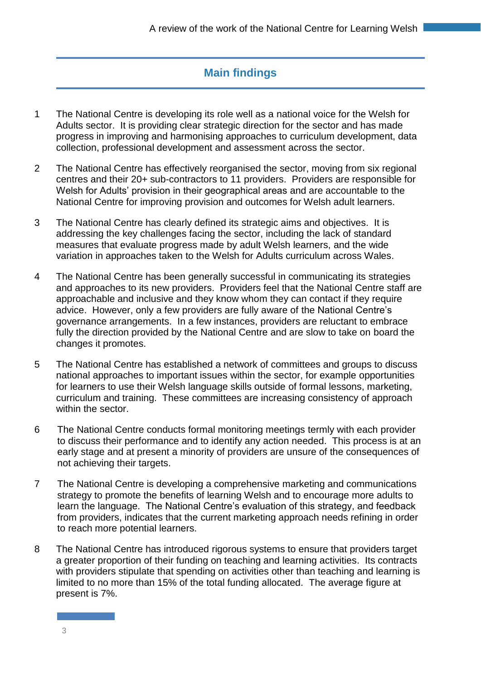# **Main findings**

- 1 The National Centre is developing its role well as a national voice for the Welsh for Adults sector. It is providing clear strategic direction for the sector and has made progress in improving and harmonising approaches to curriculum development, data collection, professional development and assessment across the sector.
- 2 The National Centre has effectively reorganised the sector, moving from six regional centres and their 20+ sub-contractors to 11 providers. Providers are responsible for Welsh for Adults' provision in their geographical areas and are accountable to the National Centre for improving provision and outcomes for Welsh adult learners.
- 3 The National Centre has clearly defined its strategic aims and objectives. It is addressing the key challenges facing the sector, including the lack of standard measures that evaluate progress made by adult Welsh learners, and the wide variation in approaches taken to the Welsh for Adults curriculum across Wales.
- 4 The National Centre has been generally successful in communicating its strategies and approaches to its new providers. Providers feel that the National Centre staff are approachable and inclusive and they know whom they can contact if they require advice. However, only a few providers are fully aware of the National Centre's governance arrangements. In a few instances, providers are reluctant to embrace fully the direction provided by the National Centre and are slow to take on board the changes it promotes.
- 5 The National Centre has established a network of committees and groups to discuss national approaches to important issues within the sector, for example opportunities for learners to use their Welsh language skills outside of formal lessons, marketing, curriculum and training. These committees are increasing consistency of approach within the sector.
- 6 The National Centre conducts formal monitoring meetings termly with each provider to discuss their performance and to identify any action needed. This process is at an early stage and at present a minority of providers are unsure of the consequences of not achieving their targets.
- 7 The National Centre is developing a comprehensive marketing and communications strategy to promote the benefits of learning Welsh and to encourage more adults to learn the language. The National Centre's evaluation of this strategy, and feedback from providers, indicates that the current marketing approach needs refining in order to reach more potential learners.
- 8 The National Centre has introduced rigorous systems to ensure that providers target a greater proportion of their funding on teaching and learning activities. Its contracts with providers stipulate that spending on activities other than teaching and learning is limited to no more than 15% of the total funding allocated. The average figure at present is 7%.

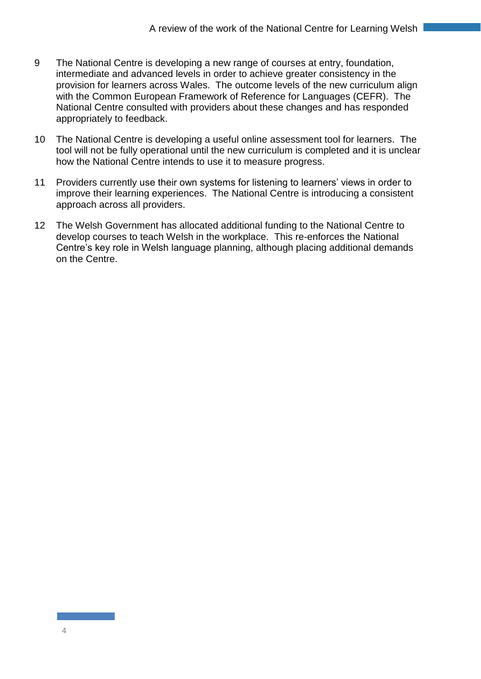- 9 The National Centre is developing a new range of courses at entry, foundation, intermediate and advanced levels in order to achieve greater consistency in the provision for learners across Wales. The outcome levels of the new curriculum align with the Common European Framework of Reference for Languages (CEFR). The National Centre consulted with providers about these changes and has responded appropriately to feedback.
- 10 The National Centre is developing a useful online assessment tool for learners. The tool will not be fully operational until the new curriculum is completed and it is unclear how the National Centre intends to use it to measure progress.
- 11 Providers currently use their own systems for listening to learners' views in order to improve their learning experiences. The National Centre is introducing a consistent approach across all providers.
- 12 The Welsh Government has allocated additional funding to the National Centre to develop courses to teach Welsh in the workplace. This re-enforces the National Centre's key role in Welsh language planning, although placing additional demands on the Centre.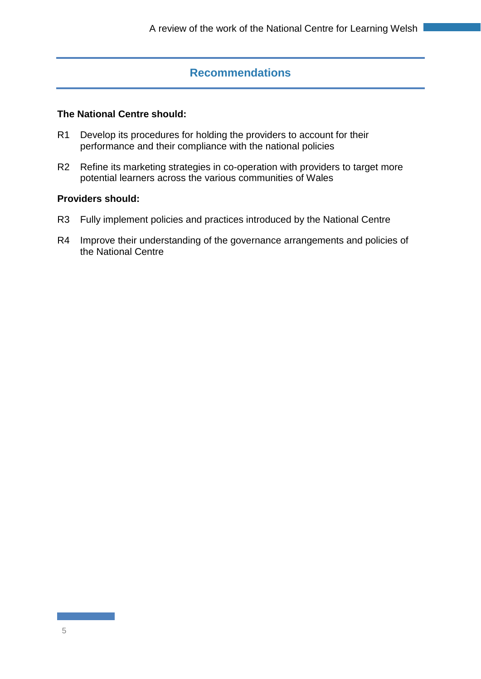## **Recommendations**

#### **The National Centre should:**

- R1 Develop its procedures for holding the providers to account for their performance and their compliance with the national policies
- R2 Refine its marketing strategies in co-operation with providers to target more potential learners across the various communities of Wales

#### **Providers should:**

- R3 Fully implement policies and practices introduced by the National Centre
- R4 Improve their understanding of the governance arrangements and policies of the National Centre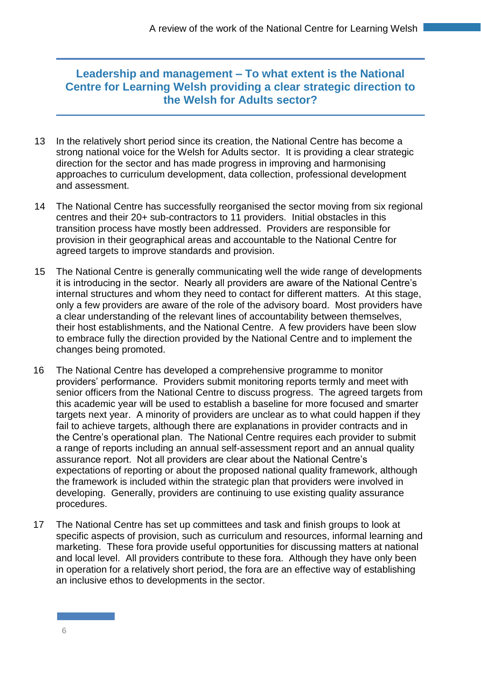## **Leadership and management – To what extent is the National Centre for Learning Welsh providing a clear strategic direction to the Welsh for Adults sector?**

- 13 In the relatively short period since its creation, the National Centre has become a strong national voice for the Welsh for Adults sector. It is providing a clear strategic direction for the sector and has made progress in improving and harmonising approaches to curriculum development, data collection, professional development and assessment.
- 14 The National Centre has successfully reorganised the sector moving from six regional centres and their 20+ sub-contractors to 11 providers. Initial obstacles in this transition process have mostly been addressed. Providers are responsible for provision in their geographical areas and accountable to the National Centre for agreed targets to improve standards and provision.
- 15 The National Centre is generally communicating well the wide range of developments it is introducing in the sector. Nearly all providers are aware of the National Centre's internal structures and whom they need to contact for different matters. At this stage, only a few providers are aware of the role of the advisory board. Most providers have a clear understanding of the relevant lines of accountability between themselves, their host establishments, and the National Centre. A few providers have been slow to embrace fully the direction provided by the National Centre and to implement the changes being promoted.
- 16 The National Centre has developed a comprehensive programme to monitor providers' performance. Providers submit monitoring reports termly and meet with senior officers from the National Centre to discuss progress. The agreed targets from this academic year will be used to establish a baseline for more focused and smarter targets next year. A minority of providers are unclear as to what could happen if they fail to achieve targets, although there are explanations in provider contracts and in the Centre's operational plan. The National Centre requires each provider to submit a range of reports including an annual self-assessment report and an annual quality assurance report. Not all providers are clear about the National Centre's expectations of reporting or about the proposed national quality framework, although the framework is included within the strategic plan that providers were involved in developing. Generally, providers are continuing to use existing quality assurance procedures.
- 17 The National Centre has set up committees and task and finish groups to look at specific aspects of provision, such as curriculum and resources, informal learning and marketing. These fora provide useful opportunities for discussing matters at national and local level. All providers contribute to these fora. Although they have only been in operation for a relatively short period, the fora are an effective way of establishing an inclusive ethos to developments in the sector.

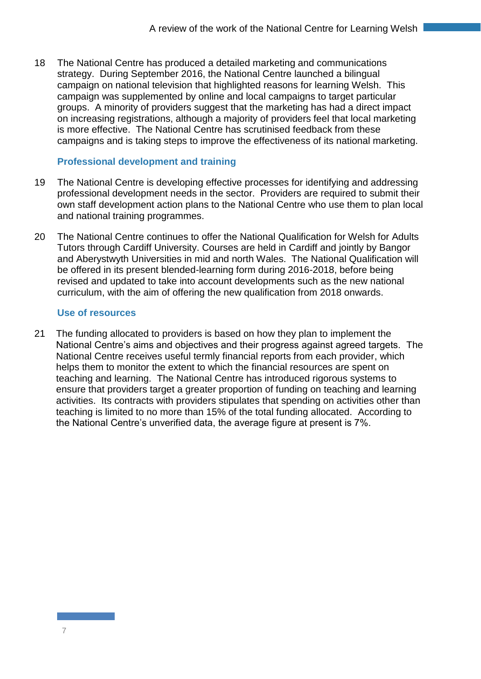18 The National Centre has produced a detailed marketing and communications strategy. During September 2016, the National Centre launched a bilingual campaign on national television that highlighted reasons for learning Welsh. This campaign was supplemented by online and local campaigns to target particular groups. A minority of providers suggest that the marketing has had a direct impact on increasing registrations, although a majority of providers feel that local marketing is more effective. The National Centre has scrutinised feedback from these campaigns and is taking steps to improve the effectiveness of its national marketing.

### **Professional development and training**

- 19 The National Centre is developing effective processes for identifying and addressing professional development needs in the sector. Providers are required to submit their own staff development action plans to the National Centre who use them to plan local and national training programmes.
- 20 The National Centre continues to offer the National Qualification for Welsh for Adults Tutors through Cardiff University. Courses are held in Cardiff and jointly by Bangor and Aberystwyth Universities in mid and north Wales. The National Qualification will be offered in its present blended-learning form during 2016-2018, before being revised and updated to take into account developments such as the new national curriculum, with the aim of offering the new qualification from 2018 onwards.

#### **Use of resources**

21 The funding allocated to providers is based on how they plan to implement the National Centre's aims and objectives and their progress against agreed targets. The National Centre receives useful termly financial reports from each provider, which helps them to monitor the extent to which the financial resources are spent on teaching and learning. The National Centre has introduced rigorous systems to ensure that providers target a greater proportion of funding on teaching and learning activities. Its contracts with providers stipulates that spending on activities other than teaching is limited to no more than 15% of the total funding allocated. According to the National Centre's unverified data, the average figure at present is 7%.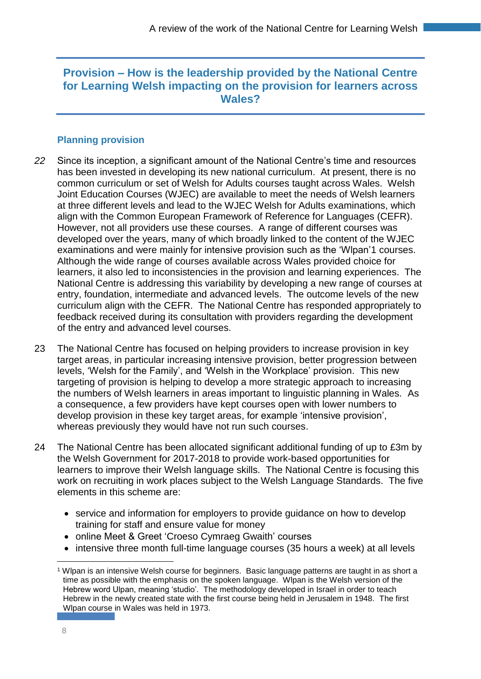## **Provision – How is the leadership provided by the National Centre for Learning Welsh impacting on the provision for learners across Wales?**

### **Planning provision**

- *22* Since its inception, a significant amount of the National Centre's time and resources has been invested in developing its new national curriculum. At present, there is no common curriculum or set of Welsh for Adults courses taught across Wales. Welsh Joint Education Courses (WJEC) are available to meet the needs of Welsh learners at three different levels and lead to the WJEC Welsh for Adults examinations, which align with the Common European Framework of Reference for Languages (CEFR). However, not all providers use these courses. A range of different courses was developed over the years, many of which broadly linked to the content of the WJEC examinations and were mainly for intensive provision such as the 'Wlpan'1 courses. Although the wide range of courses available across Wales provided choice for learners, it also led to inconsistencies in the provision and learning experiences. The National Centre is addressing this variability by developing a new range of courses at entry, foundation, intermediate and advanced levels. The outcome levels of the new curriculum align with the CEFR. The National Centre has responded appropriately to feedback received during its consultation with providers regarding the development of the entry and advanced level courses.
- 23 The National Centre has focused on helping providers to increase provision in key target areas, in particular increasing intensive provision, better progression between levels, 'Welsh for the Family', and 'Welsh in the Workplace' provision. This new targeting of provision is helping to develop a more strategic approach to increasing the numbers of Welsh learners in areas important to linguistic planning in Wales. As a consequence, a few providers have kept courses open with lower numbers to develop provision in these key target areas, for example 'intensive provision', whereas previously they would have not run such courses.
- 24 The National Centre has been allocated significant additional funding of up to £3m by the Welsh Government for 2017-2018 to provide work-based opportunities for learners to improve their Welsh language skills. The National Centre is focusing this work on recruiting in work places subject to the Welsh Language Standards. The five elements in this scheme are:
	- service and information for employers to provide guidance on how to develop training for staff and ensure value for money
	- online Meet & Greet 'Croeso Cymraeg Gwaith' courses
	- intensive three month full-time language courses (35 hours a week) at all levels

 $\overline{a}$ <sup>1</sup> Wlpan is an intensive Welsh course for beginners. Basic language patterns are taught in as short a time as possible with the emphasis on the spoken language. Wlpan is the Welsh version of the Hebrew word Ulpan, meaning 'studio'. The methodology developed in Israel in order to teach Hebrew in the newly created state with the first course being held in Jerusalem in 1948. The first Wlpan course in Wales was held in 1973.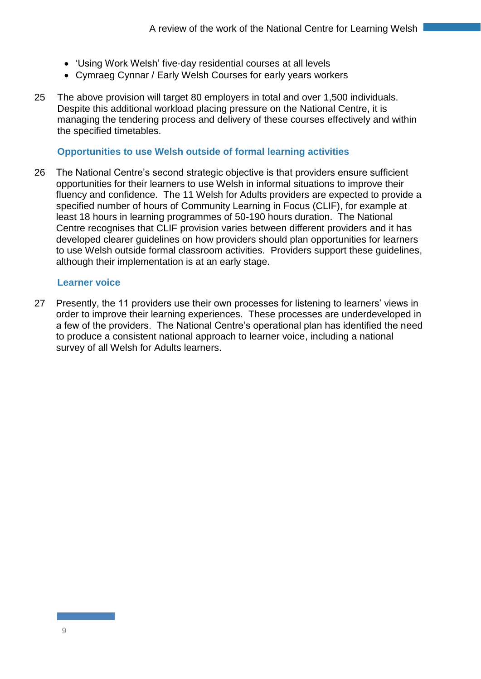- 'Using Work Welsh' five-day residential courses at all levels
- Cymraeg Cynnar / Early Welsh Courses for early years workers
- 25 The above provision will target 80 employers in total and over 1,500 individuals. Despite this additional workload placing pressure on the National Centre, it is managing the tendering process and delivery of these courses effectively and within the specified timetables.

#### **Opportunities to use Welsh outside of formal learning activities**

26 The National Centre's second strategic objective is that providers ensure sufficient opportunities for their learners to use Welsh in informal situations to improve their fluency and confidence. The 11 Welsh for Adults providers are expected to provide a specified number of hours of Community Learning in Focus (CLIF), for example at least 18 hours in learning programmes of 50-190 hours duration. The National Centre recognises that CLIF provision varies between different providers and it has developed clearer guidelines on how providers should plan opportunities for learners to use Welsh outside formal classroom activities. Providers support these guidelines, although their implementation is at an early stage.

#### **Learner voice**

27 Presently, the 11 providers use their own processes for listening to learners' views in order to improve their learning experiences. These processes are underdeveloped in a few of the providers. The National Centre's operational plan has identified the need to produce a consistent national approach to learner voice, including a national survey of all Welsh for Adults learners.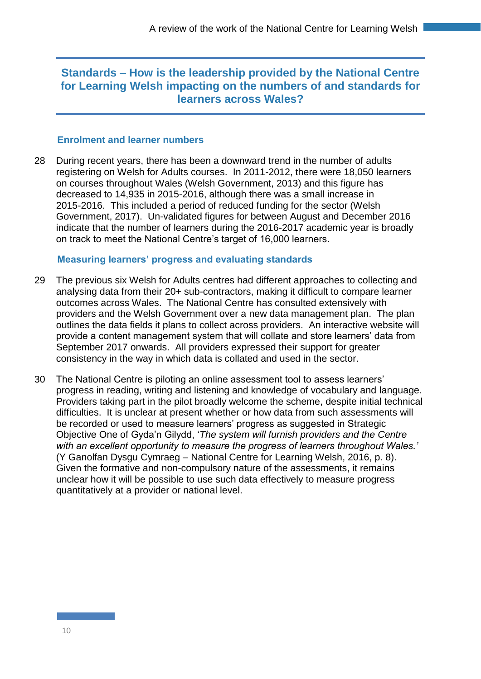## **Standards – How is the leadership provided by the National Centre for Learning Welsh impacting on the numbers of and standards for learners across Wales?**

#### **Enrolment and learner numbers**

28 During recent years, there has been a downward trend in the number of adults registering on Welsh for Adults courses. In 2011-2012, there were 18,050 learners on courses throughout Wales (Welsh Government, 2013) and this figure has decreased to 14,935 in 2015-2016, although there was a small increase in 2015-2016. This included a period of reduced funding for the sector (Welsh Government, 2017). Un-validated figures for between August and December 2016 indicate that the number of learners during the 2016-2017 academic year is broadly on track to meet the National Centre's target of 16,000 learners.

#### **Measuring learners' progress and evaluating standards**

- 29 The previous six Welsh for Adults centres had different approaches to collecting and analysing data from their 20+ sub-contractors, making it difficult to compare learner outcomes across Wales. The National Centre has consulted extensively with providers and the Welsh Government over a new data management plan. The plan outlines the data fields it plans to collect across providers. An interactive website will provide a content management system that will collate and store learners' data from September 2017 onwards. All providers expressed their support for greater consistency in the way in which data is collated and used in the sector.
- 30 The National Centre is piloting an online assessment tool to assess learners' progress in reading, writing and listening and knowledge of vocabulary and language. Providers taking part in the pilot broadly welcome the scheme, despite initial technical difficulties. It is unclear at present whether or how data from such assessments will be recorded or used to measure learners' progress as suggested in Strategic Objective One of Gyda'n Gilydd, '*The system will furnish providers and the Centre with an excellent opportunity to measure the progress of learners throughout Wales.'* (Y Ganolfan Dysgu Cymraeg – National Centre for Learning Welsh, 2016, p. 8). Given the formative and non-compulsory nature of the assessments, it remains unclear how it will be possible to use such data effectively to measure progress quantitatively at a provider or national level.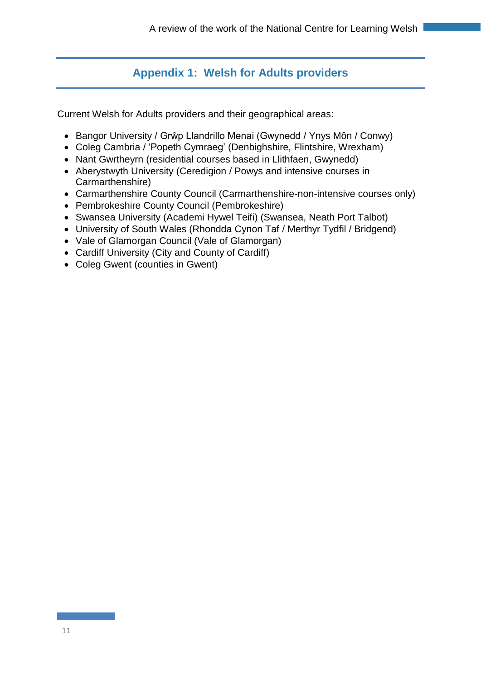# **Appendix 1: Welsh for Adults providers**

Current Welsh for Adults providers and their geographical areas:

- Bangor University / Grŵp Llandrillo Menai (Gwynedd / Ynys Môn / Conwy)
- Coleg Cambria / 'Popeth Cymraeg' (Denbighshire, Flintshire, Wrexham)
- Nant Gwrtheyrn (residential courses based in Llithfaen, Gwynedd)
- Aberystwyth University (Ceredigion / Powys and intensive courses in Carmarthenshire)
- Carmarthenshire County Council (Carmarthenshire-non-intensive courses only)
- Pembrokeshire County Council (Pembrokeshire)
- Swansea University (Academi Hywel Teifi) (Swansea, Neath Port Talbot)
- University of South Wales (Rhondda Cynon Taf / Merthyr Tydfil / Bridgend)
- Vale of Glamorgan Council (Vale of Glamorgan)
- Cardiff University (City and County of Cardiff)
- Coleg Gwent (counties in Gwent)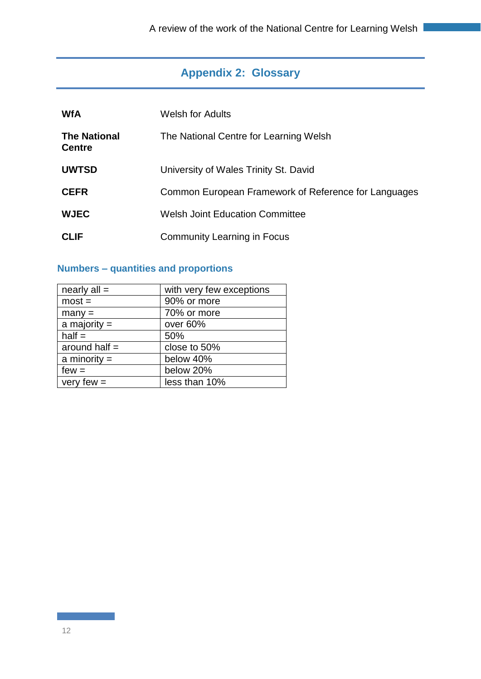# **Appendix 2: Glossary**

| <b>WfA</b>                           | <b>Welsh for Adults</b>                              |
|--------------------------------------|------------------------------------------------------|
| <b>The National</b><br><b>Centre</b> | The National Centre for Learning Welsh               |
| <b>UWTSD</b>                         | University of Wales Trinity St. David                |
| <b>CEFR</b>                          | Common European Framework of Reference for Languages |
| <b>WJEC</b>                          | Welsh Joint Education Committee                      |
| <b>CLIF</b>                          | Community Learning in Focus                          |

## **Numbers – quantities and proportions**

| nearly $all =$  | with very few exceptions |
|-----------------|--------------------------|
| $most =$        | 90% or more              |
| $many =$        | 70% or more              |
| a majority $=$  | over 60%                 |
| $half =$        | 50%                      |
| around half $=$ | close to 50%             |
| a minority $=$  | below 40%                |
| $few =$         | below 20%                |
| very few $=$    | less than 10%            |